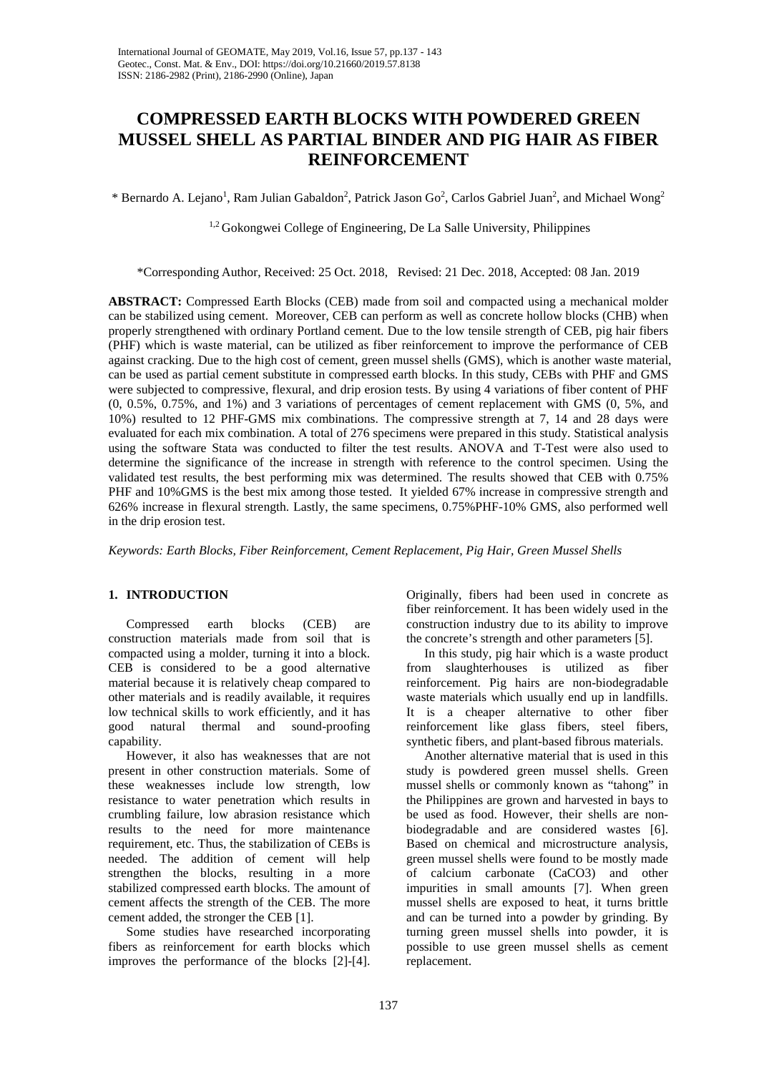# **COMPRESSED EARTH BLOCKS WITH POWDERED GREEN MUSSEL SHELL AS PARTIAL BINDER AND PIG HAIR AS FIBER REINFORCEMENT**

 $*$  Bernardo A. Lejano<sup>1</sup>, Ram Julian Gabaldon<sup>2</sup>, Patrick Jason Go<sup>2</sup>, Carlos Gabriel Juan<sup>2</sup>, and Michael Wong<sup>2</sup>

<sup>1,2</sup> Gokongwei College of Engineering, De La Salle University, Philippines

\*Corresponding Author, Received: 25 Oct. 2018, Revised: 21 Dec. 2018, Accepted: 08 Jan. 2019

**ABSTRACT:** Compressed Earth Blocks (CEB) made from soil and compacted using a mechanical molder can be stabilized using cement. Moreover, CEB can perform as well as concrete hollow blocks (CHB) when properly strengthened with ordinary Portland cement. Due to the low tensile strength of CEB, pig hair fibers (PHF) which is waste material, can be utilized as fiber reinforcement to improve the performance of CEB against cracking. Due to the high cost of cement, green mussel shells (GMS), which is another waste material, can be used as partial cement substitute in compressed earth blocks. In this study, CEBs with PHF and GMS were subjected to compressive, flexural, and drip erosion tests. By using 4 variations of fiber content of PHF (0, 0.5%, 0.75%, and 1%) and 3 variations of percentages of cement replacement with GMS (0, 5%, and 10%) resulted to 12 PHF-GMS mix combinations. The compressive strength at 7, 14 and 28 days were evaluated for each mix combination. A total of 276 specimens were prepared in this study. Statistical analysis using the software Stata was conducted to filter the test results. ANOVA and T-Test were also used to determine the significance of the increase in strength with reference to the control specimen. Using the validated test results, the best performing mix was determined. The results showed that CEB with 0.75% PHF and 10%GMS is the best mix among those tested. It yielded 67% increase in compressive strength and 626% increase in flexural strength. Lastly, the same specimens, 0.75%PHF-10% GMS, also performed well in the drip erosion test.

*Keywords: Earth Blocks, Fiber Reinforcement, Cement Replacement, Pig Hair, Green Mussel Shells*

## **1. INTRODUCTION**

Compressed earth blocks (CEB) are construction materials made from soil that is compacted using a molder, turning it into a block. CEB is considered to be a good alternative material because it is relatively cheap compared to other materials and is readily available, it requires low technical skills to work efficiently, and it has good natural thermal and sound-proofing capability.

However, it also has weaknesses that are not present in other construction materials. Some of these weaknesses include low strength, low resistance to water penetration which results in crumbling failure, low abrasion resistance which results to the need for more maintenance requirement, etc. Thus, the stabilization of CEBs is needed. The addition of cement will help strengthen the blocks, resulting in a more stabilized compressed earth blocks. The amount of cement affects the strength of the CEB. The more cement added, the stronger the CEB [1].

Some studies have researched incorporating fibers as reinforcement for earth blocks which improves the performance of the blocks [2]-[4]. Originally, fibers had been used in concrete as fiber reinforcement. It has been widely used in the construction industry due to its ability to improve the concrete's strength and other parameters [5].

In this study, pig hair which is a waste product from slaughterhouses is utilized as fiber reinforcement. Pig hairs are non-biodegradable waste materials which usually end up in landfills. It is a cheaper alternative to other fiber reinforcement like glass fibers, steel fibers, synthetic fibers, and plant-based fibrous materials.

Another alternative material that is used in this study is powdered green mussel shells. Green mussel shells or commonly known as "tahong" in the Philippines are grown and harvested in bays to be used as food. However, their shells are nonbiodegradable and are considered wastes [6]. Based on chemical and microstructure analysis, green mussel shells were found to be mostly made of calcium carbonate (CaCO3) and other impurities in small amounts [7]. When green mussel shells are exposed to heat, it turns brittle and can be turned into a powder by grinding. By turning green mussel shells into powder, it is possible to use green mussel shells as cement replacement.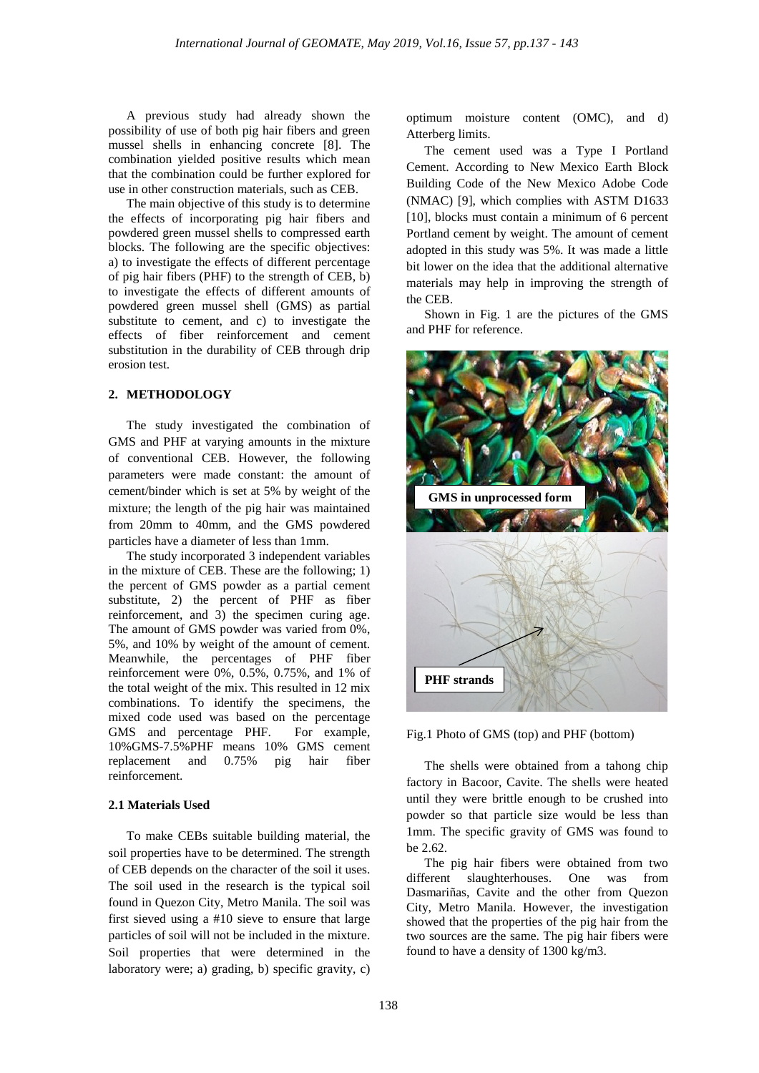A previous study had already shown the possibility of use of both pig hair fibers and green mussel shells in enhancing concrete [8]. The combination yielded positive results which mean that the combination could be further explored for use in other construction materials, such as CEB.

The main objective of this study is to determine the effects of incorporating pig hair fibers and powdered green mussel shells to compressed earth blocks. The following are the specific objectives: a) to investigate the effects of different percentage of pig hair fibers (PHF) to the strength of CEB, b) to investigate the effects of different amounts of powdered green mussel shell (GMS) as partial substitute to cement, and c) to investigate the effects of fiber reinforcement and cement substitution in the durability of CEB through drip erosion test.

## **2. METHODOLOGY**

The study investigated the combination of GMS and PHF at varying amounts in the mixture of conventional CEB. However, the following parameters were made constant: the amount of cement/binder which is set at 5% by weight of the mixture; the length of the pig hair was maintained from 20mm to 40mm, and the GMS powdered particles have a diameter of less than 1mm.

The study incorporated 3 independent variables in the mixture of CEB. These are the following; 1) the percent of GMS powder as a partial cement substitute, 2) the percent of PHF as fiber reinforcement, and 3) the specimen curing age. The amount of GMS powder was varied from 0%, 5%, and 10% by weight of the amount of cement. Meanwhile, the percentages of PHF fiber reinforcement were 0%, 0.5%, 0.75%, and 1% of the total weight of the mix. This resulted in 12 mix combinations. To identify the specimens, the mixed code used was based on the percentage GMS and percentage PHF. For example, 10%GMS-7.5%PHF means 10% GMS cement replacement and 0.75% pig hair fiber reinforcement.

## **2.1 Materials Used**

To make CEBs suitable building material, the soil properties have to be determined. The strength of CEB depends on the character of the soil it uses. The soil used in the research is the typical soil found in Quezon City, Metro Manila. The soil was first sieved using a #10 sieve to ensure that large particles of soil will not be included in the mixture. Soil properties that were determined in the laboratory were; a) grading, b) specific gravity, c) optimum moisture content (OMC), and d) Atterberg limits.

The cement used was a Type I Portland Cement. According to New Mexico Earth Block Building Code of the New Mexico Adobe Code (NMAC) [9], which complies with ASTM D1633 [10], blocks must contain a minimum of 6 percent Portland cement by weight. The amount of cement adopted in this study was 5%. It was made a little bit lower on the idea that the additional alternative materials may help in improving the strength of the CEB.

Shown in Fig. 1 are the pictures of the GMS and PHF for reference.





The shells were obtained from a tahong chip factory in Bacoor, Cavite. The shells were heated until they were brittle enough to be crushed into powder so that particle size would be less than 1mm. The specific gravity of GMS was found to be 2.62.

The pig hair fibers were obtained from two different slaughterhouses. One was from Dasmariñas, Cavite and the other from Quezon City, Metro Manila. However, the investigation showed that the properties of the pig hair from the two sources are the same. The pig hair fibers were found to have a density of 1300 kg/m3.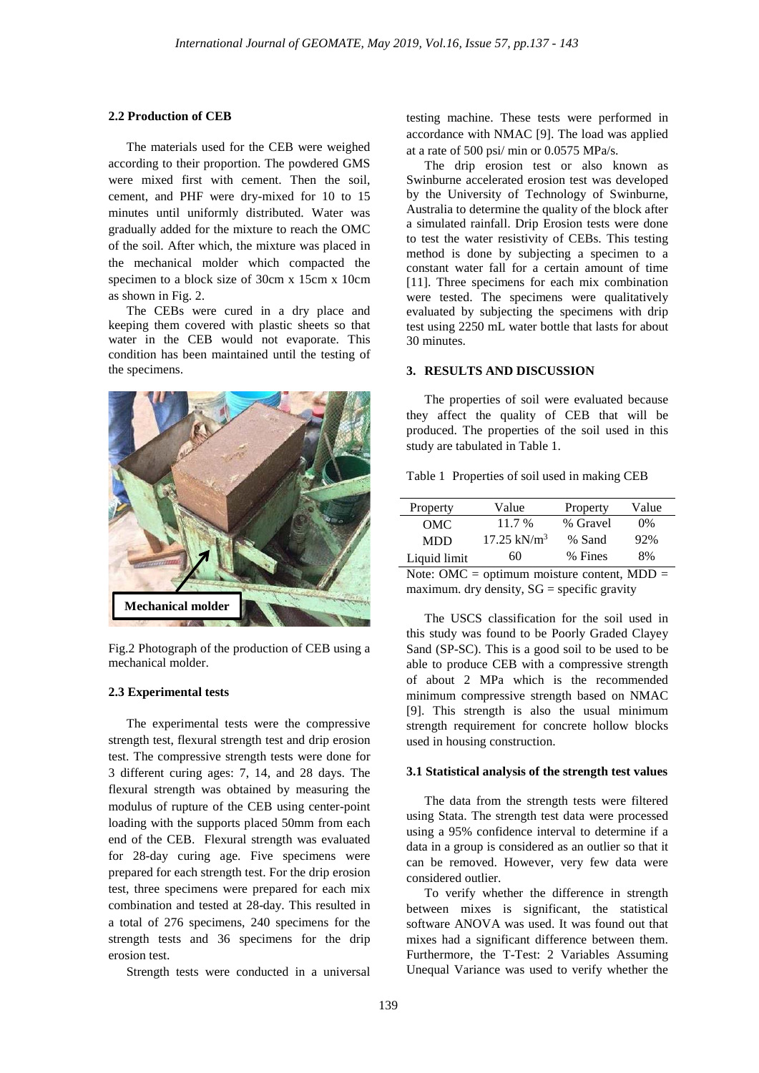#### **2.2 Production of CEB**

The materials used for the CEB were weighed according to their proportion. The powdered GMS were mixed first with cement. Then the soil, cement, and PHF were dry-mixed for 10 to 15 minutes until uniformly distributed. Water was gradually added for the mixture to reach the OMC of the soil. After which, the mixture was placed in the mechanical molder which compacted the specimen to a block size of 30cm x 15cm x 10cm as shown in Fig. 2.

The CEBs were cured in a dry place and keeping them covered with plastic sheets so that water in the CEB would not evaporate. This condition has been maintained until the testing of the specimens.



Fig.2 Photograph of the production of CEB using a mechanical molder.

#### **2.3 Experimental tests**

The experimental tests were the compressive strength test, flexural strength test and drip erosion test. The compressive strength tests were done for 3 different curing ages: 7, 14, and 28 days. The flexural strength was obtained by measuring the modulus of rupture of the CEB using center-point loading with the supports placed 50mm from each end of the CEB. Flexural strength was evaluated for 28-day curing age. Five specimens were prepared for each strength test. For the drip erosion test, three specimens were prepared for each mix combination and tested at 28-day. This resulted in a total of 276 specimens, 240 specimens for the strength tests and 36 specimens for the drip erosion test.

Strength tests were conducted in a universal

testing machine. These tests were performed in accordance with NMAC [9]. The load was applied at a rate of 500 psi/ min or 0.0575 MPa/s.

The drip erosion test or also known as Swinburne accelerated erosion test was developed by the University of Technology of Swinburne, Australia to determine the quality of the block after a simulated rainfall. Drip Erosion tests were done to test the water resistivity of CEBs. This testing method is done by subjecting a specimen to a constant water fall for a certain amount of time [11]. Three specimens for each mix combination were tested. The specimens were qualitatively evaluated by subjecting the specimens with drip test using 2250 mL water bottle that lasts for about 30 minutes.

#### **3. RESULTS AND DISCUSSION**

The properties of soil were evaluated because they affect the quality of CEB that will be produced. The properties of the soil used in this study are tabulated in Table 1.

Table 1 Properties of soil used in making CEB

| Property     | Value                  | Property | Value |
|--------------|------------------------|----------|-------|
| OMC.         | 11.7 %                 | % Gravel | $0\%$ |
| <b>MDD</b>   | $17.25 \text{ kN/m}^3$ | % Sand   | 92%   |
| Liquid limit | 60                     | % Fines  | 8%    |

Note: OMC = optimum moisture content,  $MDD =$ maximum. dry density,  $SG =$  specific gravity

The USCS classification for the soil used in this study was found to be Poorly Graded Clayey Sand (SP-SC). This is a good soil to be used to be able to produce CEB with a compressive strength of about 2 MPa which is the recommended minimum compressive strength based on NMAC [9]. This strength is also the usual minimum strength requirement for concrete hollow blocks used in housing construction.

#### **3.1 Statistical analysis of the strength test values**

The data from the strength tests were filtered using Stata. The strength test data were processed using a 95% confidence interval to determine if a data in a group is considered as an outlier so that it can be removed. However, very few data were considered outlier.

To verify whether the difference in strength between mixes is significant, the statistical software ANOVA was used. It was found out that mixes had a significant difference between them. Furthermore, the T-Test: 2 Variables Assuming Unequal Variance was used to verify whether the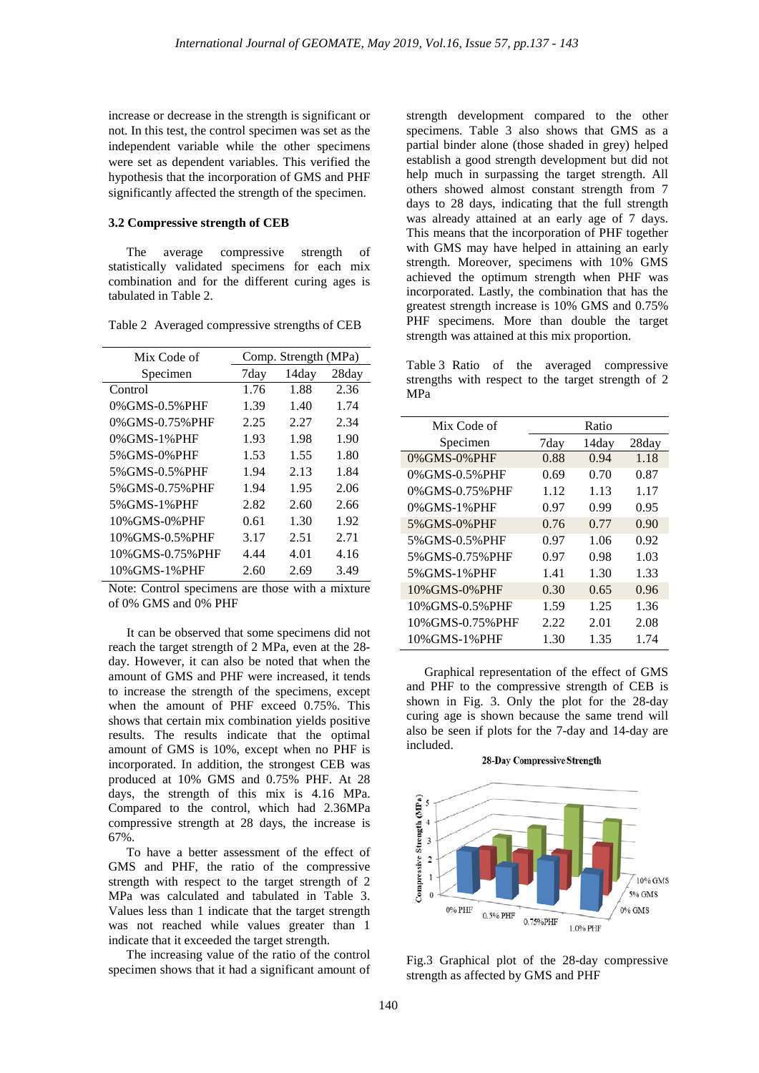increase or decrease in the strength is significant or not. In this test, the control specimen was set as the independent variable while the other specimens were set as dependent variables. This verified the hypothesis that the incorporation of GMS and PHF significantly affected the strength of the specimen.

## **3.2 Compressive strength of CEB**

The average compressive strength of statistically validated specimens for each mix combination and for the different curing ages is tabulated in Table 2.

| Mix Code of       | Comp. Strength (MPa) |       |       |
|-------------------|----------------------|-------|-------|
| Specimen          | 7day                 | 14day | 28day |
| Control           | 1.76                 | 1.88  | 2.36  |
| 0% GMS-0.5% PHF   | 1.39                 | 1.40  | 1.74  |
| 0% GMS-0.75% PHF  | 2.25                 | 2.27  | 2.34  |
| 0%GMS-1%PHF       | 1.93                 | 1.98  | 1.90  |
| 5% GMS-0% PHF     | 1.53                 | 1.55  | 1.80  |
| 5% GMS-0.5% PHF   | 1.94                 | 2.13  | 1.84  |
| 5% GMS-0.75% PHF  | 1.94                 | 1.95  | 2.06  |
| 5% GMS-1% PHF     | 2.82                 | 2.60  | 2.66  |
| 10% GMS-0% PHF    | 0.61                 | 1.30  | 1.92  |
| 10%GMS-0.5%PHF    | 3.17                 | 2.51  | 2.71  |
| 10% GMS-0.75% PHF | 4.44                 | 4.01  | 4.16  |
| 10% GMS-1% PHF    | 2.60                 | 2.69  | 3.49  |

Table 2 Averaged compressive strengths of CEB

Note: Control specimens are those with a mixture of 0% GMS and 0% PHF

It can be observed that some specimens did not reach the target strength of 2 MPa, even at the 28 day. However, it can also be noted that when the amount of GMS and PHF were increased, it tends to increase the strength of the specimens, except when the amount of PHF exceed 0.75%. This shows that certain mix combination yields positive results. The results indicate that the optimal amount of GMS is 10%, except when no PHF is incorporated. In addition, the strongest CEB was produced at 10% GMS and 0.75% PHF. At 28 days, the strength of this mix is 4.16 MPa. Compared to the control, which had 2.36MPa compressive strength at 28 days, the increase is 67%.

To have a better assessment of the effect of GMS and PHF, the ratio of the compressive strength with respect to the target strength of 2 MPa was calculated and tabulated in Table 3. Values less than 1 indicate that the target strength was not reached while values greater than 1 indicate that it exceeded the target strength.

The increasing value of the ratio of the control specimen shows that it had a significant amount of strength development compared to the other specimens. Table 3 also shows that GMS as a partial binder alone (those shaded in grey) helped establish a good strength development but did not help much in surpassing the target strength. All others showed almost constant strength from 7 days to 28 days, indicating that the full strength was already attained at an early age of 7 days. This means that the incorporation of PHF together with GMS may have helped in attaining an early strength. Moreover, specimens with 10% GMS achieved the optimum strength when PHF was incorporated. Lastly, the combination that has the greatest strength increase is 10% GMS and 0.75% PHF specimens. More than double the target strength was attained at this mix proportion.

Table 3 Ratio of the averaged compressive strengths with respect to the target strength of 2 MPa

| Mix Code of       |      | Ratio |       |
|-------------------|------|-------|-------|
| Specimen          | 7day | 14day | 28day |
| 0%GMS-0%PHF       | 0.88 | 0.94  | 1.18  |
| 0% GMS-0.5% PHF   | 0.69 | 0.70  | 0.87  |
| 0%GMS-0.75%PHF    | 1.12 | 1.13  | 1.17  |
| 0% GMS-1% PHF     | 0.97 | 0.99  | 0.95  |
| 5% GMS-0% PHF     | 0.76 | 0.77  | 0.90  |
| 5% GMS-0.5% PHF   | 0.97 | 1.06  | 0.92  |
| 5% GMS-0.75% PHF  | 0.97 | 0.98  | 1.03  |
| 5% GMS-1% PHF     | 1.41 | 1.30  | 1.33  |
| 10% GMS-0% PHF    | 0.30 | 0.65  | 0.96  |
| 10% GMS-0.5% PHF  | 1.59 | 1.25  | 1.36  |
| 10% GMS-0.75% PHF | 2.22 | 2.01  | 2.08  |
| 10% GMS-1% PHF    | 1.30 | 1.35  | 1.74  |

Graphical representation of the effect of GMS and PHF to the compressive strength of CEB is shown in Fig. 3. Only the plot for the 28-day curing age is shown because the same trend will also be seen if plots for the 7-day and 14-day are included.

28-Day Compressive Strength



Fig.3 Graphical plot of the 28-day compressive strength as affected by GMS and PHF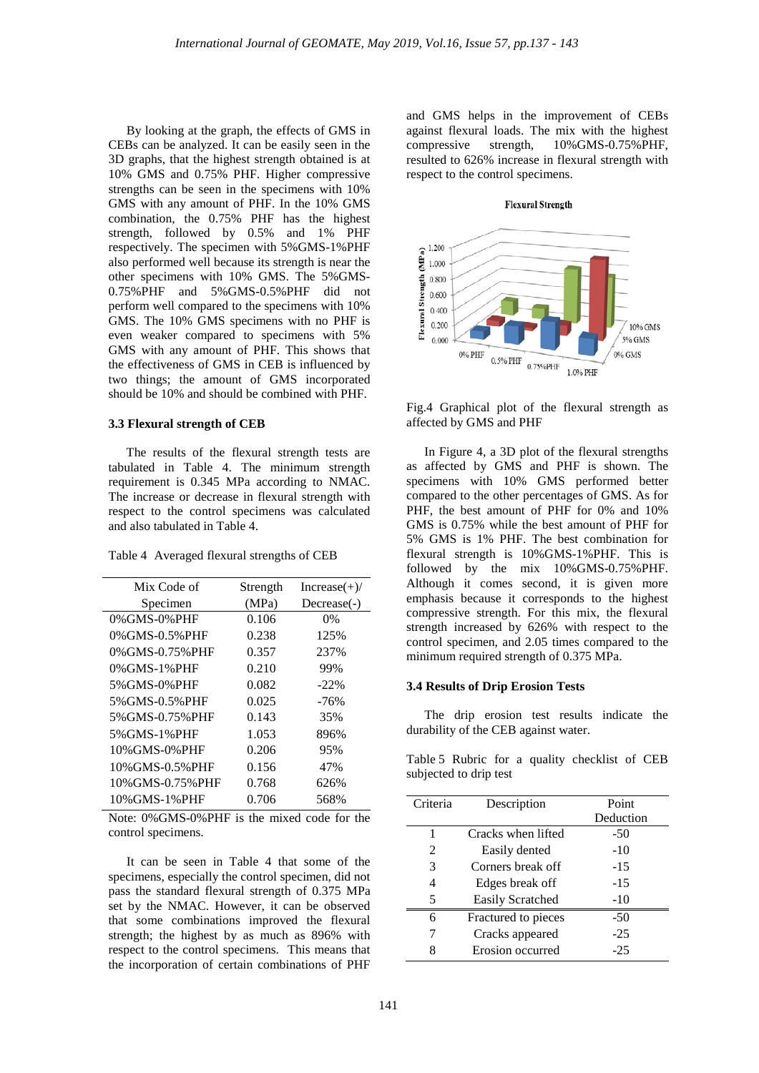By looking at the graph, the effects of GMS in CEBs can be analyzed. It can be easily seen in the 3D graphs, that the highest strength obtained is at 10% GMS and 0.75% PHF. Higher compressive strengths can be seen in the specimens with 10% GMS with any amount of PHF. In the 10% GMS combination, the 0.75% PHF has the highest strength, followed by 0.5% and 1% PHF respectively. The specimen with 5%GMS-1%PHF also performed well because its strength is near the other specimens with 10% GMS. The 5%GMS-0.75%PHF and 5%GMS-0.5%PHF did not perform well compared to the specimens with 10% GMS. The 10% GMS specimens with no PHF is even weaker compared to specimens with 5% GMS with any amount of PHF. This shows that the effectiveness of GMS in CEB is influenced by two things; the amount of GMS incorporated should be 10% and should be combined with PHF.

## **3.3 Flexural strength of CEB**

The results of the flexural strength tests are tabulated in Table 4. The minimum strength requirement is 0.345 MPa according to NMAC. The increase or decrease in flexural strength with respect to the control specimens was calculated and also tabulated in Table 4.

| Mix Code of      | Strength | $Increase(+)/$ |
|------------------|----------|----------------|
| Specimen         | (MPa)    | Decrease(-)    |
| 0% GMS-0% PHF    | 0.106    | $0\%$          |
| 0% GMS-0.5% PHF  | 0.238    | 125%           |
| 0% GMS-0.75% PHF | 0.357    | 237%           |
| 0% GMS-1% PHF    | 0.210    | 99%            |
| 5% GMS-0% PHF    | 0.082    | $-22\%$        |
| 5% GMS-0.5% PHF  | 0.025    | $-76%$         |
| 5% GMS-0.75% PHF | 0.143    | 35%            |
| 5% GMS-1% PHF    | 1.053    | 896%           |
| 10% GMS-0% PHF   | 0.206    | 95%            |
| 10%GMS-0.5%PHF   | 0.156    | 47%            |
| 10%GMS-0.75%PHF  | 0.768    | 626%           |
| 10% GMS-1% PHF   | 0.706    | 568%           |

Note: 0%GMS-0%PHF is the mixed code for the control specimens.

It can be seen in Table 4 that some of the specimens, especially the control specimen, did not pass the standard flexural strength of 0.375 MPa set by the NMAC. However, it can be observed that some combinations improved the flexural strength; the highest by as much as 896% with respect to the control specimens. This means that the incorporation of certain combinations of PHF

and GMS helps in the improvement of CEBs against flexural loads. The mix with the highest compressive strength, 10%GMS-0.75%PHF, 10%GMS-0.75%PHF, resulted to 626% increase in flexural strength with respect to the control specimens.

#### **Flexural Strength**



Fig.4 Graphical plot of the flexural strength as affected by GMS and PHF

In Figure 4, a 3D plot of the flexural strengths as affected by GMS and PHF is shown. The specimens with 10% GMS performed better compared to the other percentages of GMS. As for PHF, the best amount of PHF for 0% and 10% GMS is 0.75% while the best amount of PHF for 5% GMS is 1% PHF. The best combination for flexural strength is 10%GMS-1%PHF. This is followed by the mix 10%GMS-0.75%PHF. Although it comes second, it is given more emphasis because it corresponds to the highest compressive strength. For this mix, the flexural strength increased by 626% with respect to the control specimen, and 2.05 times compared to the minimum required strength of 0.375 MPa.

#### **3.4 Results of Drip Erosion Tests**

The drip erosion test results indicate the durability of the CEB against water.

Table 5 Rubric for a quality checklist of CEB subjected to drip test

| Criteria | Description             | Point     |
|----------|-------------------------|-----------|
|          |                         | Deduction |
| 1        | Cracks when lifted      | -50       |
| 2        | Easily dented           | $-10$     |
| 3        | Corners break off       | $-15$     |
| 4        | Edges break off         | $-1.5$    |
| 5        | <b>Easily Scratched</b> | $-10$     |
| 6        | Fractured to pieces     | -50       |
|          | Cracks appeared         | -25       |
| 8        | Erosion occurred        | $-25$     |
|          |                         |           |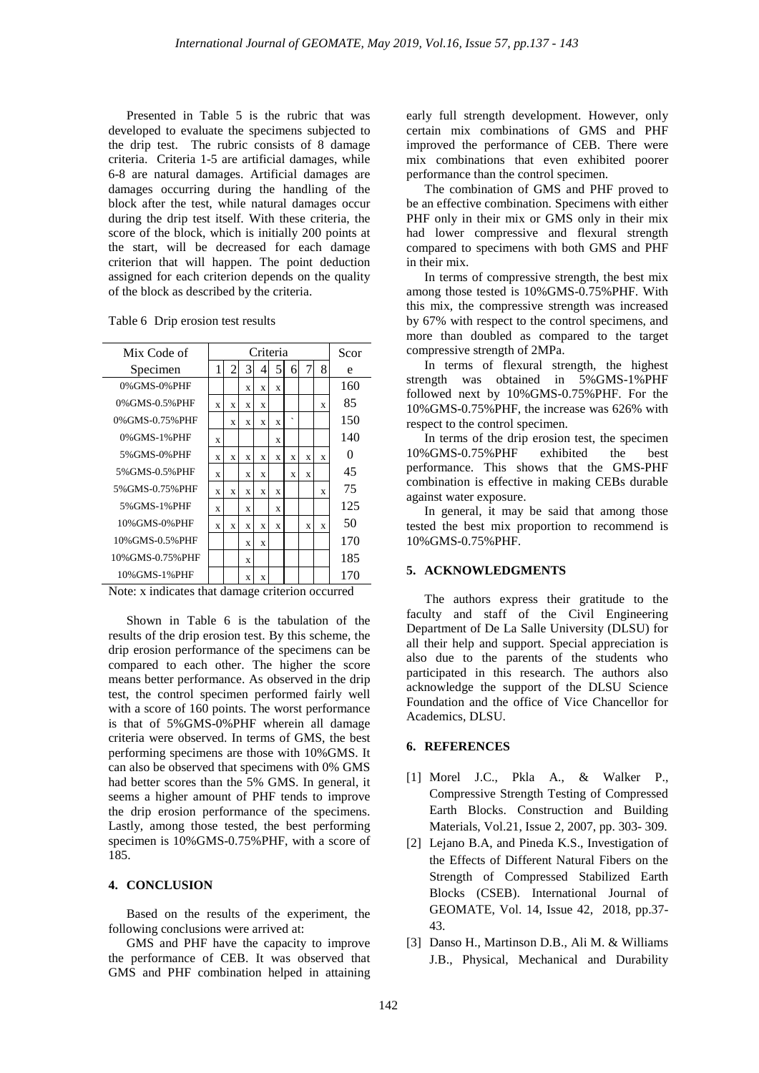Presented in Table 5 is the rubric that was developed to evaluate the specimens subjected to the drip test. The rubric consists of 8 damage criteria. Criteria 1-5 are artificial damages, while 6-8 are natural damages. Artificial damages are damages occurring during the handling of the block after the test, while natural damages occur during the drip test itself. With these criteria, the score of the block, which is initially 200 points at the start, will be decreased for each damage criterion that will happen. The point deduction assigned for each criterion depends on the quality of the block as described by the criteria.

| Scor<br>e |
|-----------|
|           |
|           |
| 160       |
| 85        |
| 150       |
| 140       |
| 0         |
| 45        |
| 75        |
| 125       |
| 50        |
| 170       |
| 185       |
| 170       |
|           |

Table 6 Drip erosion test results

Note: x indicates that damage criterion occurred

Shown in Table 6 is the tabulation of the results of the drip erosion test. By this scheme, the drip erosion performance of the specimens can be compared to each other. The higher the score means better performance. As observed in the drip test, the control specimen performed fairly well with a score of 160 points. The worst performance is that of 5%GMS-0%PHF wherein all damage criteria were observed. In terms of GMS, the best performing specimens are those with 10%GMS. It can also be observed that specimens with 0% GMS had better scores than the 5% GMS. In general, it seems a higher amount of PHF tends to improve the drip erosion performance of the specimens. Lastly, among those tested, the best performing specimen is 10%GMS-0.75%PHF, with a score of 185.

## **4. CONCLUSION**

Based on the results of the experiment, the following conclusions were arrived at:

GMS and PHF have the capacity to improve the performance of CEB. It was observed that GMS and PHF combination helped in attaining

early full strength development. However, only certain mix combinations of GMS and PHF improved the performance of CEB. There were mix combinations that even exhibited poorer performance than the control specimen.

The combination of GMS and PHF proved to be an effective combination. Specimens with either PHF only in their mix or GMS only in their mix had lower compressive and flexural strength compared to specimens with both GMS and PHF in their mix.

In terms of compressive strength, the best mix among those tested is 10%GMS-0.75%PHF. With this mix, the compressive strength was increased by 67% with respect to the control specimens, and more than doubled as compared to the target compressive strength of 2MPa.

In terms of flexural strength, the highest strength was obtained in 5%GMS-1%PHF followed next by 10%GMS-0.75%PHF. For the 10%GMS-0.75%PHF, the increase was 626% with respect to the control specimen.

In terms of the drip erosion test, the specimen 10%GMS-0.75%PHF exhibited the best performance. This shows that the GMS-PHF combination is effective in making CEBs durable against water exposure.

In general, it may be said that among those tested the best mix proportion to recommend is 10%GMS-0.75%PHF.

## **5. ACKNOWLEDGMENTS**

The authors express their gratitude to the faculty and staff of the Civil Engineering Department of De La Salle University (DLSU) for all their help and support. Special appreciation is also due to the parents of the students who participated in this research. The authors also acknowledge the support of the DLSU Science Foundation and the office of Vice Chancellor for Academics, DLSU.

#### **6. REFERENCES**

- [1] Morel J.C., Pkla A., & Walker P., Compressive Strength Testing of Compressed Earth Blocks. Construction and Building Materials, Vol.21, Issue 2, 2007, pp. 303- 309.
- [2] Lejano B.A, and Pineda K.S., Investigation of the Effects of Different Natural Fibers on the Strength of Compressed Stabilized Earth Blocks (CSEB). International Journal of GEOMATE, Vol. 14, Issue 42, 2018, pp.37- 43.
- [3] Danso H., Martinson D.B., Ali M. & Williams J.B., Physical, Mechanical and Durability